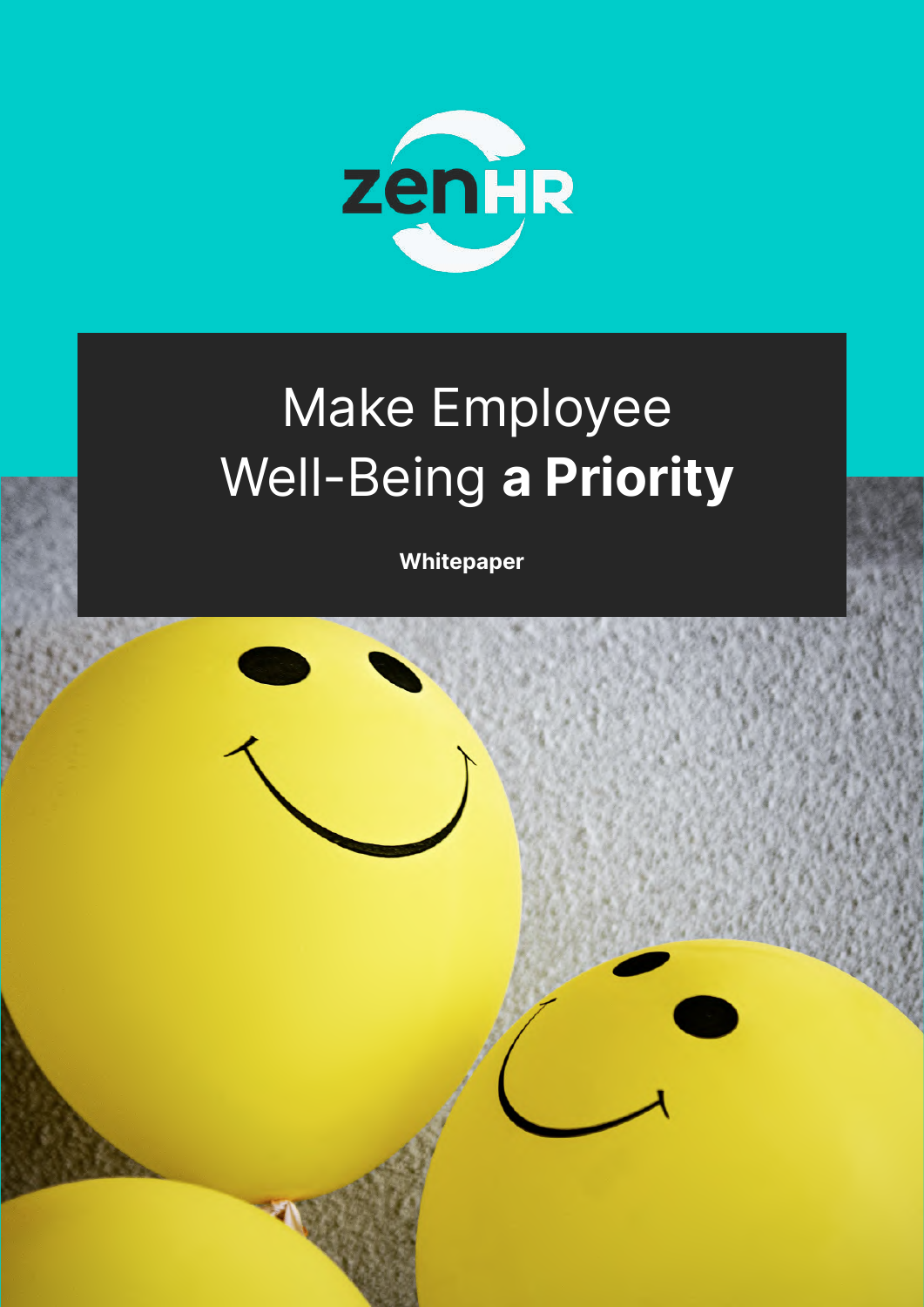

# Make Employee Well-Being a Priority

Whitepaper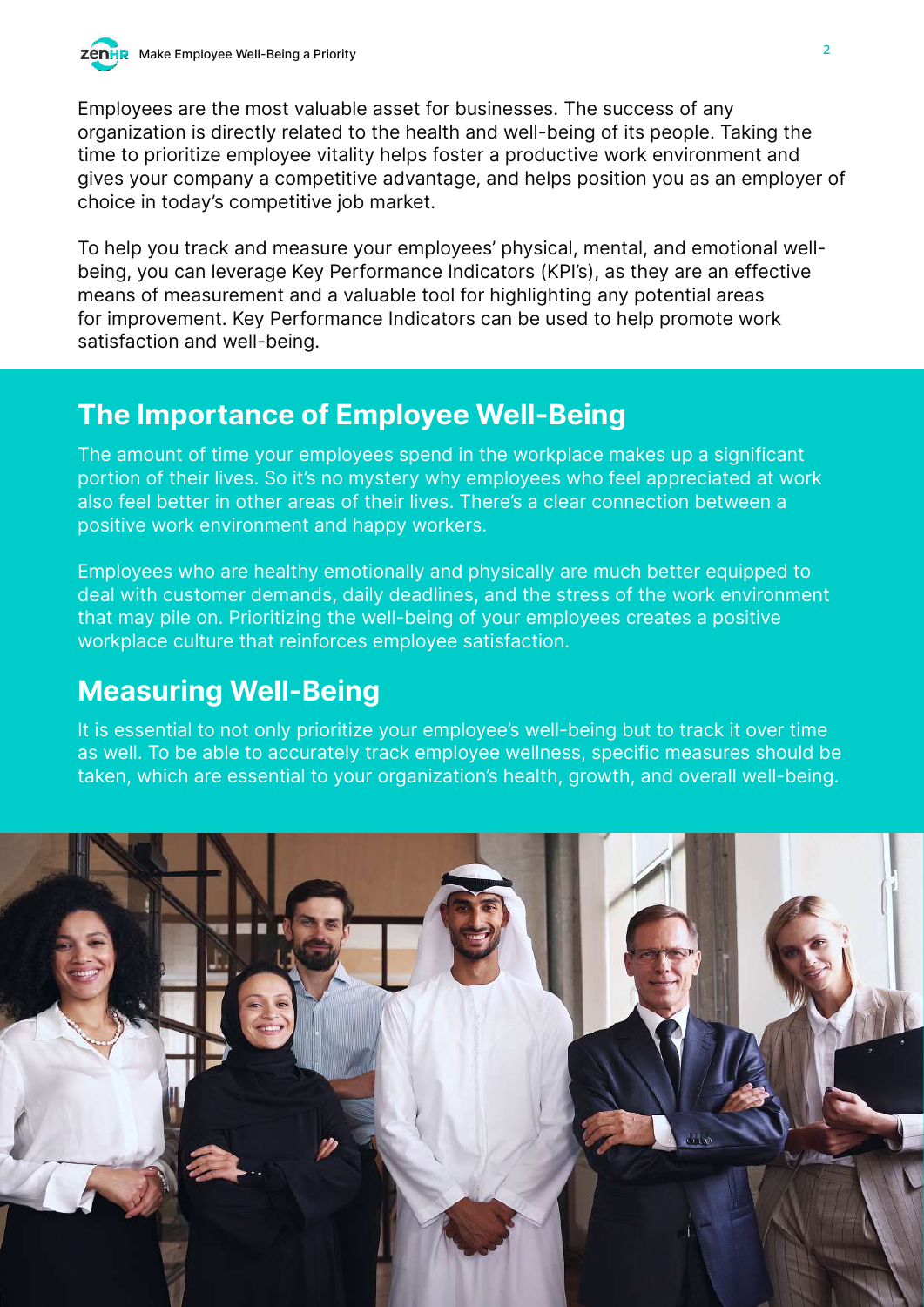Employees are the most valuable asset for businesses. The success of any organization is directly related to the health and well-being of its people. Taking the time to prioritize employee vitality helps foster a productive work environment and gives your company a competitive advantage, and helps position you as an employer of choice in today's competitive job market.

To help you track and measure your employees' physical, mental, and emotional wellbeing, you can leverage Key Performance Indicators (KPI's), as they are an effective means of measurement and a valuable tool for highlighting any potential areas for improvement. Key Performance Indicators can be used to help promote work satisfaction and well-being.

### The Importance of Employee Well-Being

The amount of time your employees spend in the workplace makes up a significant portion of their lives. So it's no mystery why employees who feel appreciated at work also feel better in other areas of their lives. There's a clear connection between a positive work environment and happy workers.

Employees who are healthy emotionally and physically are much better equipped to deal with customer demands, daily deadlines, and the stress of the work environment that may pile on. Prioritizing the well-being of your employees creates a positive workplace culture that reinforces employee satisfaction.

### Measuring Well-Being

It is essential to not only prioritize your employee's well-being but to track it over time as well. To be able to accurately track employee wellness, specific measures should be taken, which are essential to your organization's health, growth, and overall well-being.

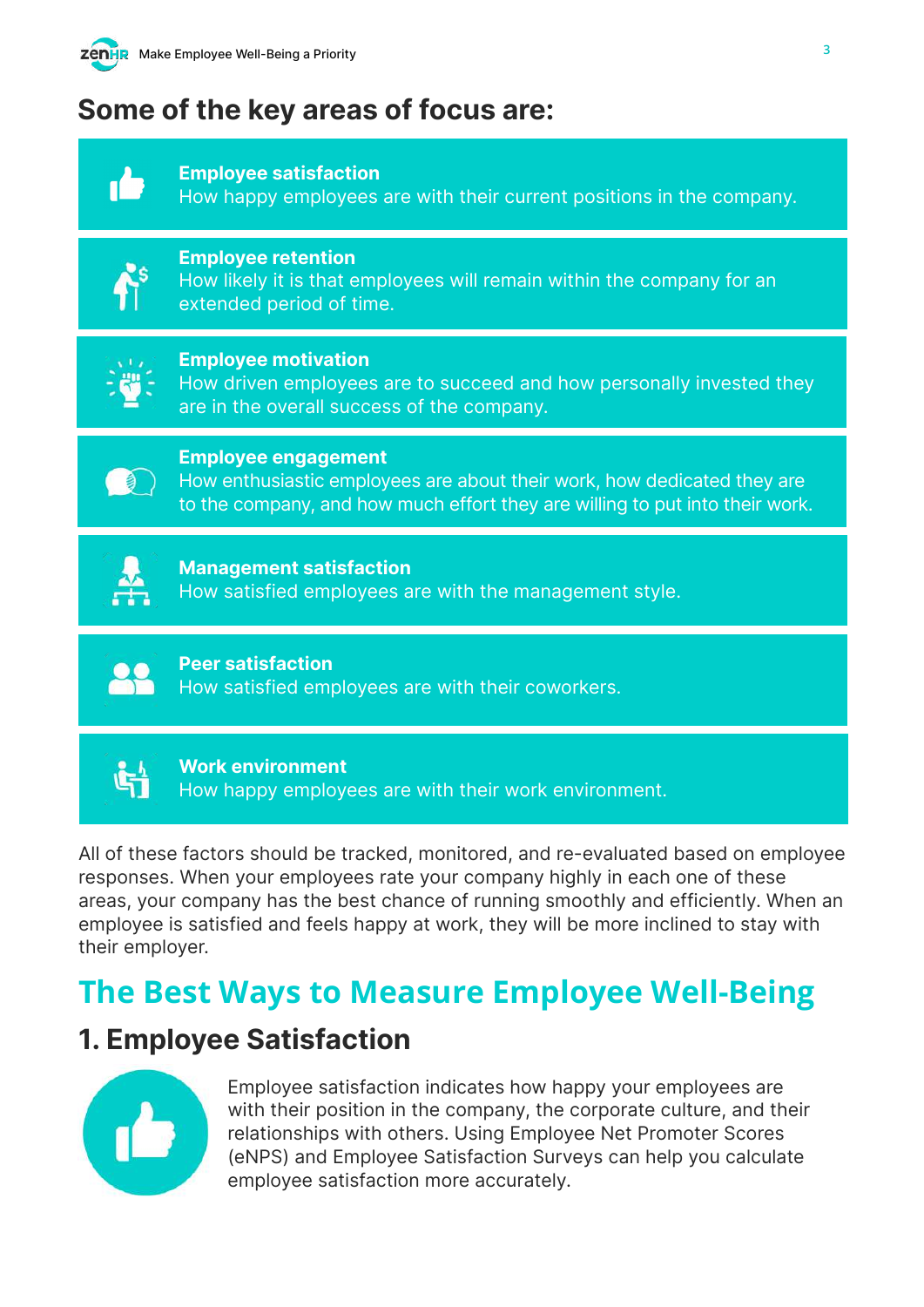

### Some of the key areas of focus are:



Employee satisfaction

How happy employees are with their current positions in the company.



#### Employee retention

How likely it is that employees will remain within the company for an extended period of time.



#### Employee motivation

How driven employees are to succeed and how personally invested they are in the overall success of the company.



#### Employee engagement

How enthusiastic employees are about their work, how dedicated they are to the company, and how much effort they are willing to put into their work.

#### Management satisfaction How satisfied employees are with the management style.



#### Work environment How happy employees are with their work environment.

All of these factors should be tracked, monitored, and re-evaluated based on employee responses. When your employees rate your company highly in each one of these areas, your company has the best chance of running smoothly and efficiently. When an employee is satisfied and feels happy at work, they will be more inclined to stay with their employer.

# **The Best Ways to Measure Employee Well-Being**

### 1. Employee Satisfaction



Employee satisfaction indicates how happy your employees are with their position in the company, the corporate culture, and their relationships with others. Using Employee Net Promoter Scores (eNPS) and Employee Satisfaction Surveys can help you calculate employee satisfaction more accurately.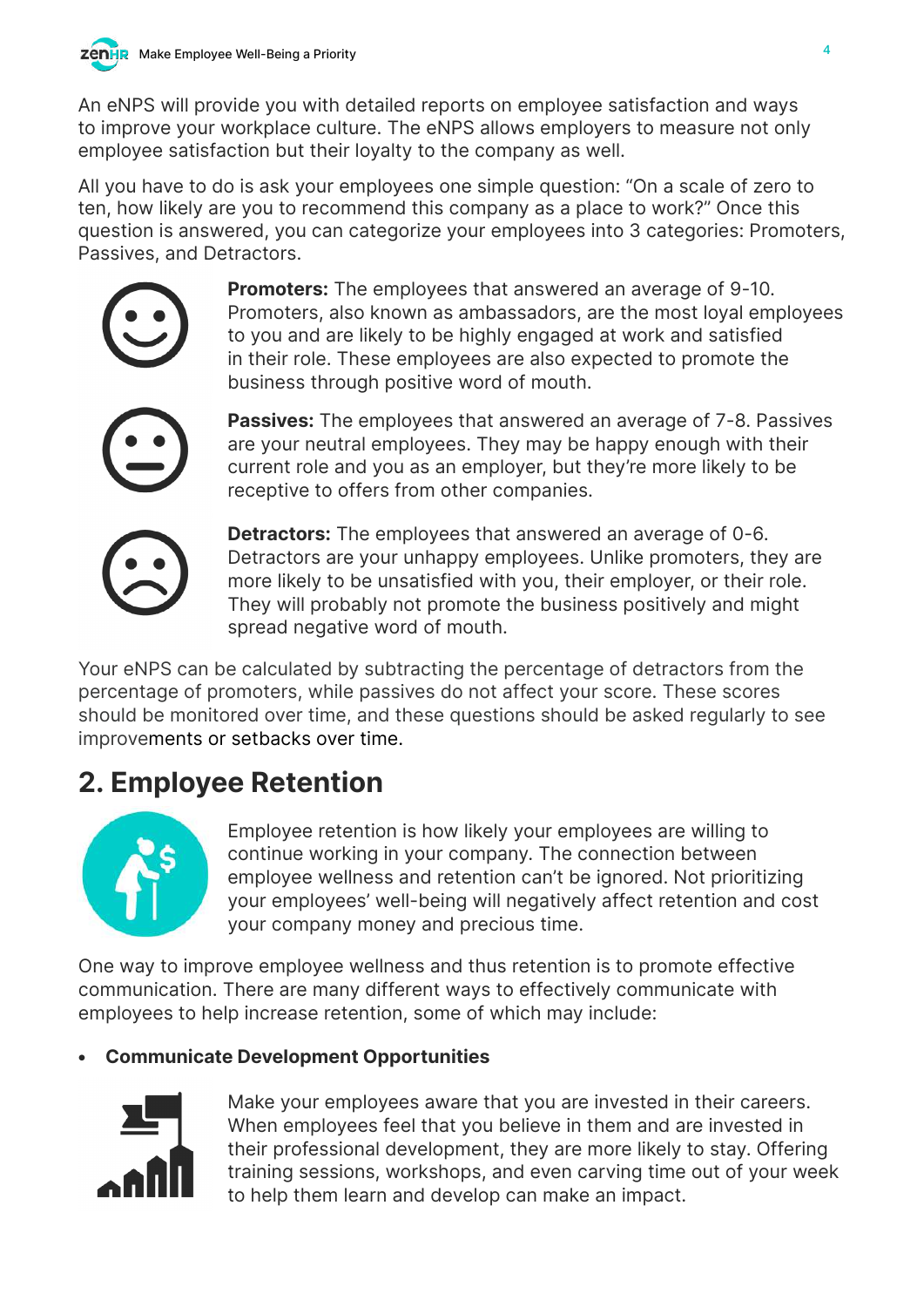An eNPS will provide you with detailed reports on employee satisfaction and ways to improve your workplace culture. The eNPS allows employers to measure not only employee satisfaction but their loyalty to the company as well.

All you have to do is ask your employees one simple question: "On a scale of zero to ten, how likely are you to recommend this company as a place to work?" Once this question is answered, you can categorize your employees into 3 categories: Promoters, Passives, and Detractors.

> **Promoters:** The employees that answered an average of 9-10. Promoters, also known as ambassadors, are the most loyal employees to you and are likely to be highly engaged at work and satisfied in their role. These employees are also expected to promote the business through positive word of mouth.

Passives: The employees that answered an average of 7-8. Passives are your neutral employees. They may be happy enough with their current role and you as an employer, but they're more likely to be receptive to offers from other companies.

Detractors: The employees that answered an average of 0-6. Detractors are your unhappy employees. Unlike promoters, they are more likely to be unsatisfied with you, their employer, or their role. They will probably not promote the business positively and might spread negative word of mouth.

Your eNPS can be calculated by subtracting the percentage of detractors from the percentage of promoters, while passives do not affect your score. These scores should be monitored over time, and these questions should be asked regularly to see improvements or setbacks over time.

# 2. Employee Retention



Employee retention is how likely your employees are willing to continue working in your company. The connection between employee wellness and retention can't be ignored. Not prioritizing your employees' well-being will negatively affect retention and cost your company money and precious time.

One way to improve employee wellness and thus retention is to promote effective communication. There are many different ways to effectively communicate with employees to help increase retention, some of which may include:

#### • Communicate Development Opportunities



Make your employees aware that you are invested in their careers. When employees feel that you believe in them and are invested in their professional development, they are more likely to stay. Offering training sessions, workshops, and even carving time out of your week to help them learn and develop can make an impact.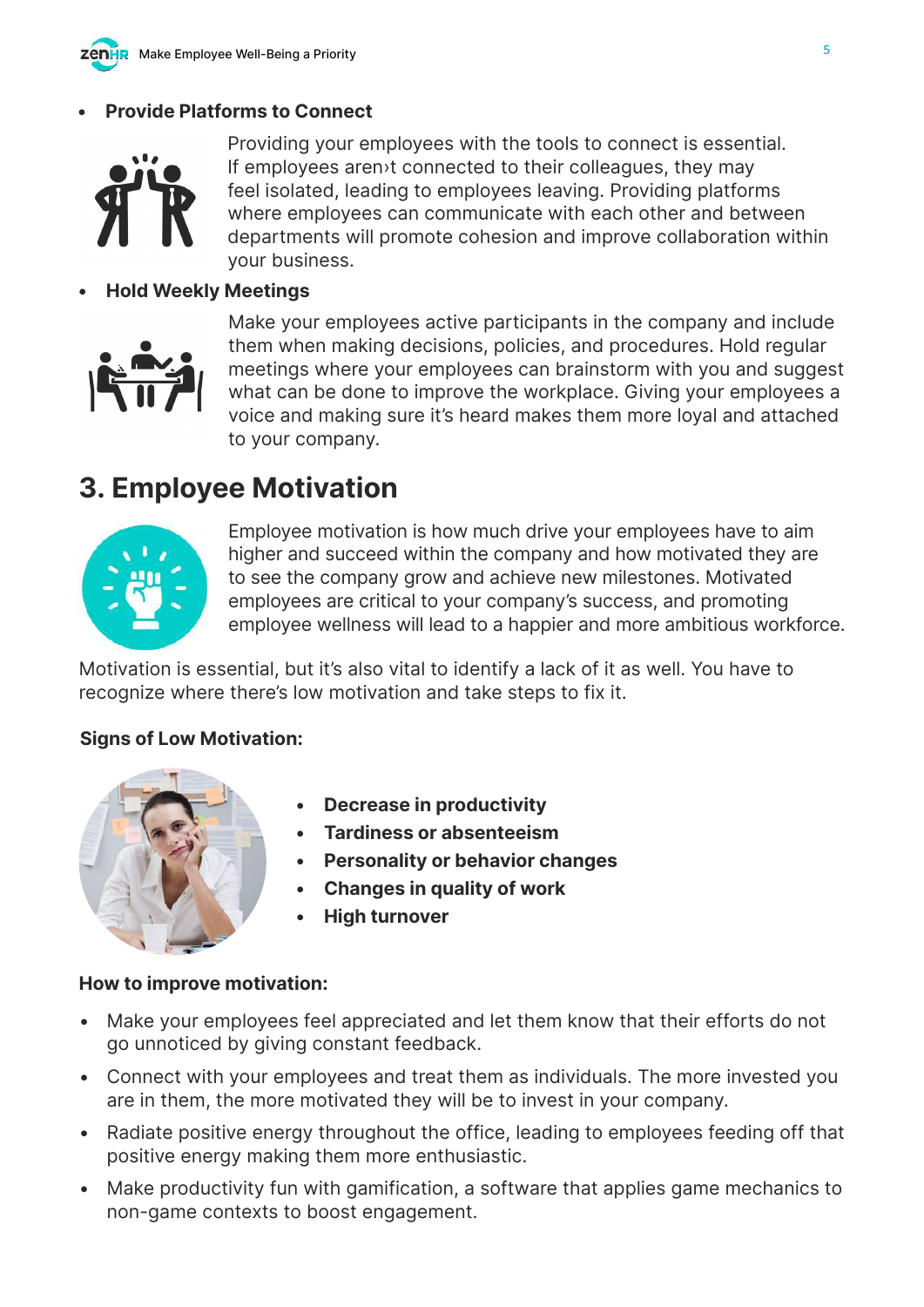

#### **Provide Platforms to Connect**



Providing your employees with the tools to connect is essential. If employees aren›t connected to their colleagues, they may feel isolated, leading to employees leaving. Providing platforms where employees can communicate with each other and between departments will promote cohesion and improve collaboration within your business.

#### • Hold Weekly Meetings



Make your employees active participants in the company and include them when making decisions, policies, and procedures. Hold regular meetings where your employees can brainstorm with you and suggest what can be done to improve the workplace. Giving your employees a voice and making sure it's heard makes them more loyal and attached to your company.

### 3. Employee Motivation



Employee motivation is how much drive your employees have to aim higher and succeed within the company and how motivated they are to see the company grow and achieve new milestones. Motivated employees are critical to your company's success, and promoting employee wellness will lead to a happier and more ambitious workforce.

Motivation is essential, but it's also vital to identify a lack of it as well. You have to recognize where there's low motivation and take steps to fix it.

#### Signs of Low Motivation:



- Decrease in productivity
- Tardiness or absenteeism
- Personality or behavior changes
- Changes in quality of work
- **High turnover**

#### How to improve motivation:

- Make your employees feel appreciated and let them know that their efforts do not go unnoticed by giving constant feedback.
- Connect with your employees and treat them as individuals. The more invested you are in them, the more motivated they will be to invest in your company.
- Radiate positive energy throughout the office, leading to employees feeding off that positive energy making them more enthusiastic.
- Make productivity fun with gamification, a software that applies game mechanics to non-game contexts to boost engagement.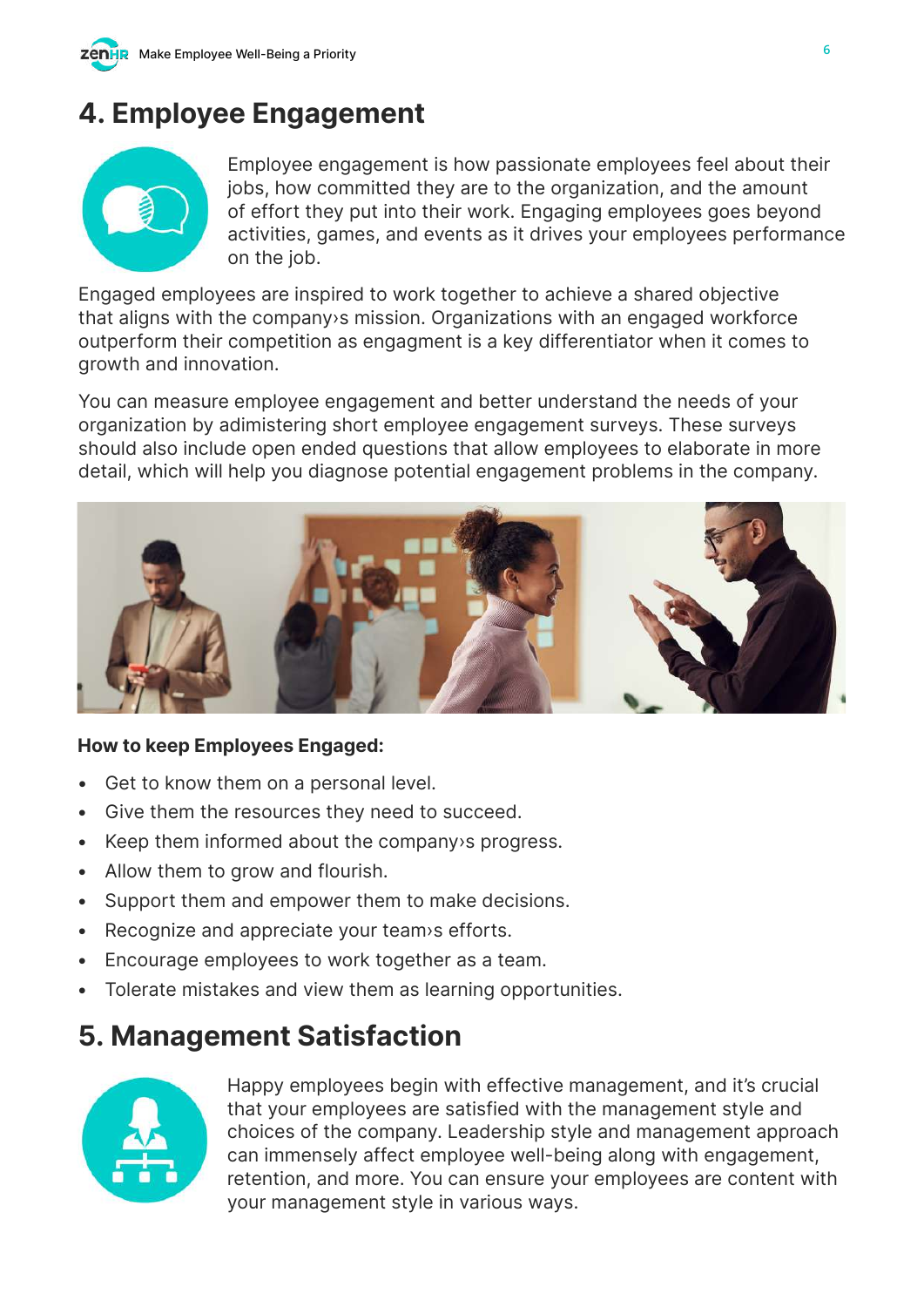# 4. Employee Engagement



Employee engagement is how passionate employees feel about their jobs, how committed they are to the organization, and the amount of effort they put into their work. Engaging employees goes beyond activities, games, and events as it drives your employees performance on the job.

Engaged employees are inspired to work together to achieve a shared objective that aligns with the company›s mission. Organizations with an engaged workforce outperform their competition as engagment is a key differentiator when it comes to growth and innovation.

You can measure employee engagement and better understand the needs of your organization by adimistering short employee engagement surveys. These surveys should also include open ended questions that allow employees to elaborate in more detail, which will help you diagnose potential engagement problems in the company.



#### How to keep Employees Engaged:

- Get to know them on a personal level.
- Give them the resources they need to succeed.
- Keep them informed about the company›s progress.
- Allow them to grow and flourish.
- Support them and empower them to make decisions.
- Recognize and appreciate your team›s efforts.
- Encourage employees to work together as a team.
- Tolerate mistakes and view them as learning opportunities.

### 5. Management Satisfaction



Happy employees begin with effective management, and it's crucial that your employees are satisfied with the management style and choices of the company. Leadership style and management approach can immensely affect employee well-being along with engagement, retention, and more. You can ensure your employees are content with your management style in various ways.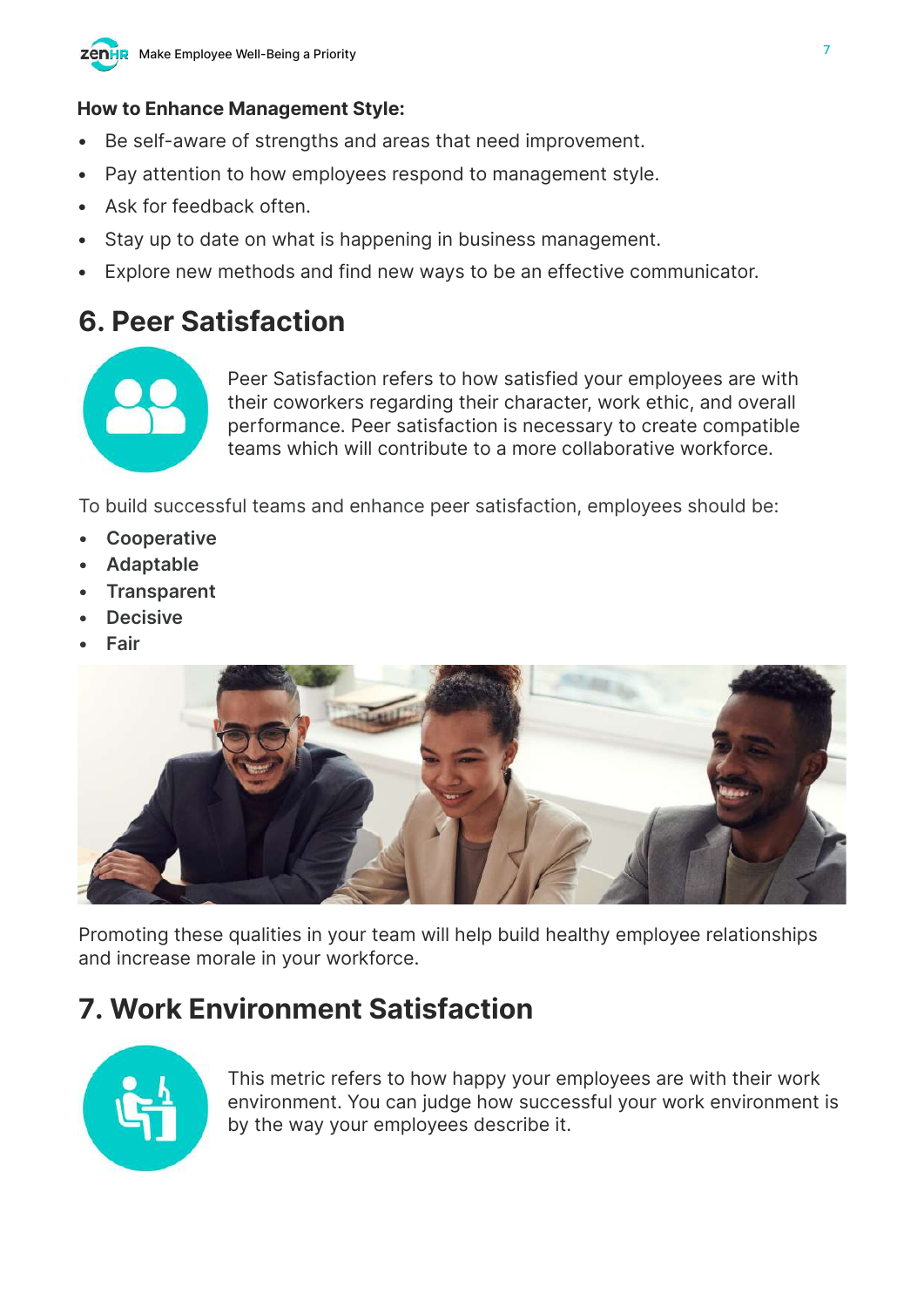

#### How to Enhance Management Style:

- Be self-aware of strengths and areas that need improvement.
- Pay attention to how employees respond to management style.
- Ask for feedback often.
- Stay up to date on what is happening in business management.
- Explore new methods and find new ways to be an effective communicator.

### 6. Peer Satisfaction



Peer Satisfaction refers to how satisfied your employees are with their coworkers regarding their character, work ethic, and overall performance. Peer satisfaction is necessary to create compatible teams which will contribute to a more collaborative workforce.

To build successful teams and enhance peer satisfaction, employees should be:

- **Cooperative**
- **Adaptable**
- **Transparent**
- **Decisive**
- **Fair**



Promoting these qualities in your team will help build healthy employee relationships and increase morale in your workforce.

### 7. Work Environment Satisfaction



This metric refers to how happy your employees are with their work environment. You can judge how successful your work environment is by the way your employees describe it.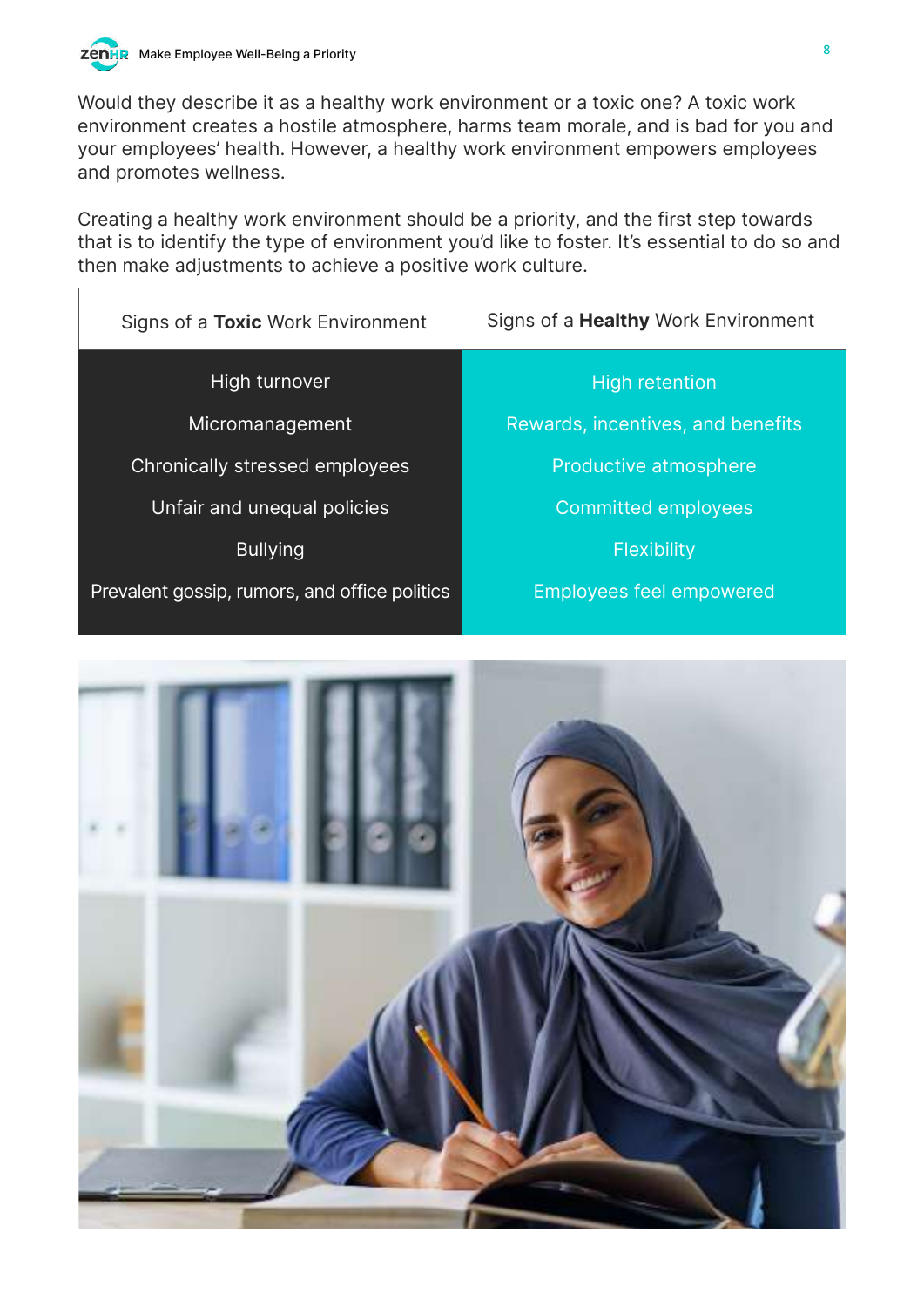

Would they describe it as a healthy work environment or a toxic one? A toxic work environment creates a hostile atmosphere, harms team morale, and is bad for you and your employees' health. However, a healthy work environment empowers employees and promotes wellness.

Creating a healthy work environment should be a priority, and the first step towards that is to identify the type of environment you'd like to foster. It's essential to do so and then make adjustments to achieve a positive work culture.

| Signs of a Toxic Work Environment             | Signs of a <b>Healthy</b> Work Environment |  |
|-----------------------------------------------|--------------------------------------------|--|
| High turnover                                 | High retention                             |  |
| Micromanagement                               | Rewards, incentives, and benefits          |  |
| Chronically stressed employees                | Productive atmosphere                      |  |
| Unfair and unequal policies                   | <b>Committed employees</b>                 |  |
| <b>Bullying</b>                               | Flexibility                                |  |
| Prevalent gossip, rumors, and office politics | <b>Employees feel empowered</b>            |  |